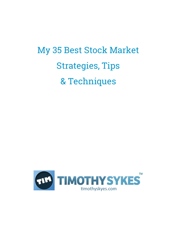## My 35 Best Stock Market Strategies, Tips & Techniques

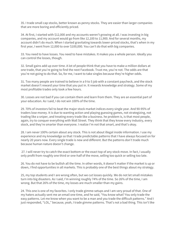35. I trade small cap stocks, better known as penny stocks. They are easier than larger companies that are more boring and efficiently priced.

34. At first, I started with \$12,000 and my accounts weren't growing at all. I was investing in big companies, and my account would go from like 12,100 to 11,900. And for several months, my account didn't do much. When I started gravitating towards lower-priced stocks, that's when in my first year, I went from 12,000 to over \$100,000. You can't do that with big companies.

33. You need to have losses. You need to have mistakes. It makes you a whole person. Ideally you can control the losses, though.

32. Small gains add up over time. A lot of people think that you have to make a million dollars at one trade, that you're going to find the next Facebook. Trust me, you're not. The odds are that you're not going to do that. So, for me, I want to take singles because they're higher odds.

31. Too many people are trained to believe in a 9 to 5 job with a constant paycheck, and the stock market doesn't reward your time that you put in. It rewards knowledge and strategy. Some of my most profitable trades only took a few hours.

30. Losses are not bad if you can contain them and learn from them. They are an essential part of your education. As I said, I do not win 100% of the time.

29. 70% of investors fail to beat the major stock market indices every single year. And 90-95% of traders lose money. It is due to wanting action and playing guessing games, not strategizing, not trading like a sniper, and treating every trade like a business. he problem is, is that most people, again, try to conquer everything with Wall Street. They think that they know every industry, every stock, and they're smarter than everyone. I realize I'm not that smart, and that's okay.

28. I am never 100% certain about any stock. This is not about illegal inside information. I use my experience and my knowledge so that I trade predictable patterns that I have always focused on for nearly 20 years now. Every single trade is new and different. But the patterns don't trade much because human nature doesn't change.

27. I will never try to catch the exact bottom or the exact top of any stock move. In fact, I usually only profit from roughly one third or one-half of the move, selling too quick or selling too late.

26. You do not have to be bullish all the time. In other words, it doesn't matter if the market is up or down, I find opportunities in all markets. This is probably one of the best things about my strategy.

25, my top students and I are wrong often, but we cut losses quickly. We do not let small mistakes turn into big disasters. As I said, I'm winning roughly 74% of the time. So 26% of the time, I am wrong. But that 26% of the time, my losses are much smaller than my gains.

24. This one is one of my favorites. I only trade gimme-setups and I am very proud of that. One of my haters actually sent me an email one time, and he said, "You know what? You only trade the easy patterns. Let me know when you want to be a man and you trade the difficult patterns." And I just responded, "LOL," because, yeah, I trade gimme patterns. That's not a bad thing. This isn't like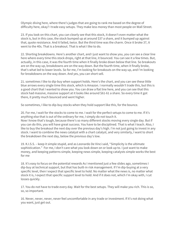Olympic diving here, where there's judges that are going to rank me based on the degree of difficulty here, okay? I trade easy setups. They make less money than most people on Wall Street.

23. If you look on this chart, you can clearly see that this stock, it doesn't even matter what the stock is, but in this case, the stock bumped up at around \$37 a share, and it bumped up against that, quote resistance. And it failed, twice. But the third time was the charm. Once it broke 37, it went to the 40s. That is a breakout. That is what I like to do.

22. Shorting breakdowns. Here's another chart, and I just want to show you, you can see a clear line here where every time this stock drops, right at that line, it bounced. You can see it a few times. But, actually, in this case, it was the fourth time when it finally broke down below that line. So breakouts are on the way up, breakdowns are on the way down. But the fourth time, when it finally broke, that's what led to lower levels. So for me, I'm looking for breakouts on the way up, and I'm looking for breakdowns on the way down. And yes, you can short sell.

21. sometimes I like to dip-buy when support holds. Here's the chart, and you can see these little blue arrows every single time this stock, which is Amazon. I normally wouldn't trade this, but this is a good chart that I wanted to show you. You can draw a flat line here, and you can see that this stock had massive, massive support at it looks like around \$61-61 a share. So every time it got there, it pretty much bounced and went higher.

So sometimes, I like to dip-buy stocks when they hold support like this, for the bounce.

20. For me, I wait for the stocks to come to me. I wait for the perfect setups to come to me. If it's anything else that is out of the ordinary for me, I simply do not touch it. Now I know that's tough, because there's so many different stocks moving every single day. But if you can do this, you will have great success. You have to be disciplined. That is what I teach. Also, I like to buy the breakout the next day over the previous day's high. I'm not just going to invest in any stock. I want to combine the news catalyst with a chart catalyst, and very similarly, I want to short the breakdown the next day, below the previous day's low.

19. K.I.S.S. – keep it simple stupid, and as Leonardo De Vinci said, "Simplicity is the ultimate sophistication." For me, I don't care what you look down on or look up to. I just want to make money, and keeping patterns simple, keeping news simple, keeping catalysts simple works the best for me

18. It's easy to focus on the potential rewards As I mentioned just a few slides ago, sometimes I dip-buy at technical support, but that has built-in risk management. If I'm dip-buying at a very specific level, then I expect that specific level to hold. No matter what the news is, no matter what stock it is, I expect that specific support level to hold. And if it does not, which I'm okay with, I cut losses quickly.

17. You do not have to trade every day. Wait for the best setups. They will make you rich. This is so, so, so important.

16. Never, never, never, never feel uncomfortable in any trade or investment. If it's not doing what you want, just get out.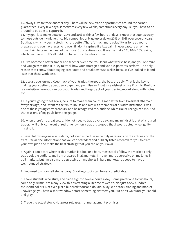15. always live to trade another day. There will be new trade opportunities around the corner, guaranteed, every few days, sometimes every few weeks, sometimes every day. But you have to be around to be able to capture it.

14. my goal is to make between 20% and 50% within a few hours or days. I know that sounds crazy to those outside my niche since big companies only go up or down 20% or 50% over several years. But that is why my penny stock niche is better. There is much more volatility as long as you're prepared and you have rules. And even if I don't capture it all…again, I never capture all of the move. I aim to take the meat of the move. So oftentimes you'll see me make 5%, 10%, 15% gains, which I'm fine with. It's all right not to capture the whole move.

13. I've become a better trader and teacher over time. You learn what works best, and you optimize and you go with that. It is key to track how your strategies and various patterns perform. The only reason that I know about buying breakouts and breakdowns so well is because I've looked at it and I see that these work best.

12. Use a trade journal. Keep track of your trades; the good, the bad, the ugly. That is the key to making you a better trader. Use a paper and pen. Use an Excel spreadsheet or use Profit.ly. Profit.ly is a website where you can post your trades and keep track of your trading record along with notes, too.

11. if you're going to set goals, be sure to make them count. I got a letter from President Obama a few years ago, and I went to the White House and met with members of his administration. I was one of these young entrepreneurs, and he recognized me, and the White House recognized me. And that was one of my goals form the get go.

10. when there's no great setup, I do not need to trade every day, and my mindset is that of a retired trader. I will only come out of retirement when a trade is so good that I would actually feel guilty missing it.

9. never follow anyone else's alerts, not even mine. Use mine only as lessons on the entries and the exits. Use all the information that you can of traders and publicly listed research for you to craft your own plan and make the best strategy that you can on your own.

8. Again, I don't care whether this market is a bull or a bare, most stocks follow the market. I only trade volatile outliers, and I am prepared in all markets. I'm even more aggressive on my longs in bull markets, but I'm also more aggressive on my shorts in bare markets. It's good to have a well-rounded strategy.

7. You need to short-sell stocks, okay. Shorting stocks can be very predictable.

6. I have students who study and trade eight to twelve hours a day. Some prefer one to two hours, some only 30 minutes a day. View this as creating a lifetime of wealth. Not just a few hundred thousand dollars. Not even just a hundred thousand dollars, okay. With stock trading and market knowledge, you have a short window before something distracts you. But don't wait until you're old and gray.

5. Trade the actual stock. Not press releases, not management promises.